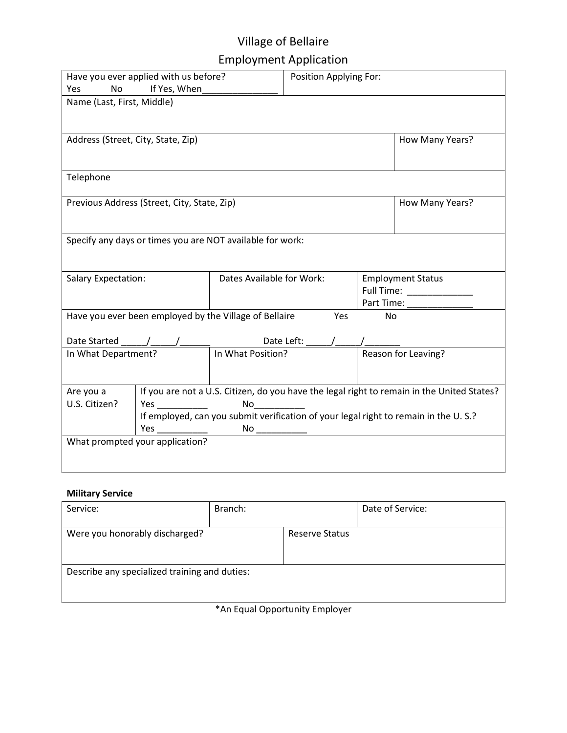# Village of Bellaire Employment Application

| Have you ever applied with us before?                                                                   |                                                                                                                                                                                                                                                                                                                                                      | Position Applying For:                                    |                          |                  |                           |
|---------------------------------------------------------------------------------------------------------|------------------------------------------------------------------------------------------------------------------------------------------------------------------------------------------------------------------------------------------------------------------------------------------------------------------------------------------------------|-----------------------------------------------------------|--------------------------|------------------|---------------------------|
| No<br>If Yes, When<br>Yes                                                                               |                                                                                                                                                                                                                                                                                                                                                      |                                                           |                          |                  |                           |
| Name (Last, First, Middle)                                                                              |                                                                                                                                                                                                                                                                                                                                                      |                                                           |                          |                  |                           |
|                                                                                                         |                                                                                                                                                                                                                                                                                                                                                      |                                                           |                          |                  |                           |
| Address (Street, City, State, Zip)                                                                      |                                                                                                                                                                                                                                                                                                                                                      |                                                           |                          |                  | How Many Years?           |
|                                                                                                         |                                                                                                                                                                                                                                                                                                                                                      |                                                           |                          |                  |                           |
|                                                                                                         |                                                                                                                                                                                                                                                                                                                                                      |                                                           |                          |                  |                           |
| Telephone                                                                                               |                                                                                                                                                                                                                                                                                                                                                      |                                                           |                          |                  |                           |
|                                                                                                         | Previous Address (Street, City, State, Zip)                                                                                                                                                                                                                                                                                                          |                                                           |                          |                  | How Many Years?           |
|                                                                                                         |                                                                                                                                                                                                                                                                                                                                                      |                                                           |                          |                  |                           |
|                                                                                                         |                                                                                                                                                                                                                                                                                                                                                      | Specify any days or times you are NOT available for work: |                          |                  |                           |
|                                                                                                         |                                                                                                                                                                                                                                                                                                                                                      |                                                           |                          |                  |                           |
|                                                                                                         |                                                                                                                                                                                                                                                                                                                                                      |                                                           |                          |                  |                           |
| <b>Salary Expectation:</b>                                                                              |                                                                                                                                                                                                                                                                                                                                                      | Dates Available for Work:                                 | <b>Employment Status</b> |                  |                           |
|                                                                                                         |                                                                                                                                                                                                                                                                                                                                                      |                                                           |                          |                  | Full Time: ______________ |
|                                                                                                         |                                                                                                                                                                                                                                                                                                                                                      | Have you ever been employed by the Village of Bellaire    | Yes                      | Part Time:<br>No |                           |
|                                                                                                         |                                                                                                                                                                                                                                                                                                                                                      |                                                           |                          |                  |                           |
| Date Started                                                                                            |                                                                                                                                                                                                                                                                                                                                                      |                                                           | Date Left:               |                  |                           |
| In What Department?                                                                                     |                                                                                                                                                                                                                                                                                                                                                      | In What Position?                                         |                          |                  | Reason for Leaving?       |
|                                                                                                         |                                                                                                                                                                                                                                                                                                                                                      |                                                           |                          |                  |                           |
| If you are not a U.S. Citizen, do you have the legal right to remain in the United States?<br>Are you a |                                                                                                                                                                                                                                                                                                                                                      |                                                           |                          |                  |                           |
| U.S. Citizen?                                                                                           | No and the set of the set of the set of the set of the set of the set of the set of the set of the set of the<br><b>Yes</b> and the set of the set of the set of the set of the set of the set of the set of the set of the set of the set of the set of the set of the set of the set of the set of the set of the set of the set of the set of the |                                                           |                          |                  |                           |
| If employed, can you submit verification of your legal right to remain in the U.S.?                     |                                                                                                                                                                                                                                                                                                                                                      |                                                           |                          |                  |                           |
| No<br>Yes                                                                                               |                                                                                                                                                                                                                                                                                                                                                      |                                                           |                          |                  |                           |
|                                                                                                         | What prompted your application?                                                                                                                                                                                                                                                                                                                      |                                                           |                          |                  |                           |
|                                                                                                         |                                                                                                                                                                                                                                                                                                                                                      |                                                           |                          |                  |                           |

### **Military Service**

| Service:                                      | Branch: |                | Date of Service: |
|-----------------------------------------------|---------|----------------|------------------|
|                                               |         |                |                  |
| Were you honorably discharged?                |         | Reserve Status |                  |
|                                               |         |                |                  |
|                                               |         |                |                  |
| Describe any specialized training and duties: |         |                |                  |
|                                               |         |                |                  |
|                                               |         |                |                  |

\*An Equal Opportunity Employer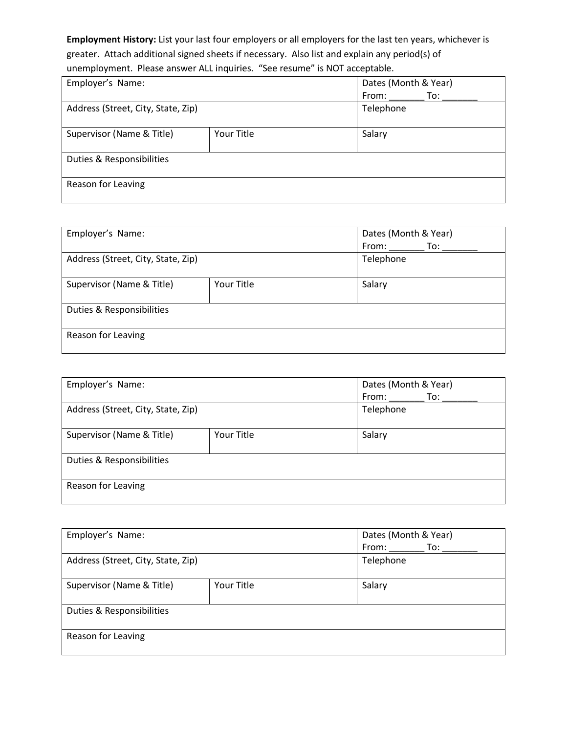**Employment History:** List your last four employers or all employers for the last ten years, whichever is greater. Attach additional signed sheets if necessary. Also list and explain any period(s) of unemployment. Please answer ALL inquiries. "See resume" is NOT acceptable.

| Employer's Name:                   |              | Dates (Month & Year) |  |
|------------------------------------|--------------|----------------------|--|
|                                    | From:<br>To: |                      |  |
| Address (Street, City, State, Zip) | Telephone    |                      |  |
|                                    |              |                      |  |
| Supervisor (Name & Title)          | Your Title   | Salary               |  |
|                                    |              |                      |  |
| Duties & Responsibilities          |              |                      |  |
|                                    |              |                      |  |
| Reason for Leaving                 |              |                      |  |
|                                    |              |                      |  |

| Employer's Name:                   | Dates (Month & Year) |           |  |
|------------------------------------|----------------------|-----------|--|
|                                    | From:<br>To:         |           |  |
| Address (Street, City, State, Zip) |                      | Telephone |  |
|                                    |                      |           |  |
| Supervisor (Name & Title)          | Your Title           | Salary    |  |
|                                    |                      |           |  |
| Duties & Responsibilities          |                      |           |  |
|                                    |                      |           |  |
| Reason for Leaving                 |                      |           |  |
|                                    |                      |           |  |

| Employer's Name:                   | Dates (Month & Year) |        |  |
|------------------------------------|----------------------|--------|--|
|                                    | To:<br>From:         |        |  |
| Address (Street, City, State, Zip) | Telephone            |        |  |
|                                    |                      |        |  |
| Supervisor (Name & Title)          | Your Title           | Salary |  |
|                                    |                      |        |  |
| Duties & Responsibilities          |                      |        |  |
|                                    |                      |        |  |
| Reason for Leaving                 |                      |        |  |
|                                    |                      |        |  |

| Employer's Name:                   | Dates (Month & Year) |           |  |
|------------------------------------|----------------------|-----------|--|
|                                    | From:<br>To:         |           |  |
| Address (Street, City, State, Zip) |                      | Telephone |  |
|                                    |                      |           |  |
| Supervisor (Name & Title)          | Your Title           | Salary    |  |
|                                    |                      |           |  |
| Duties & Responsibilities          |                      |           |  |
|                                    |                      |           |  |
| Reason for Leaving                 |                      |           |  |
|                                    |                      |           |  |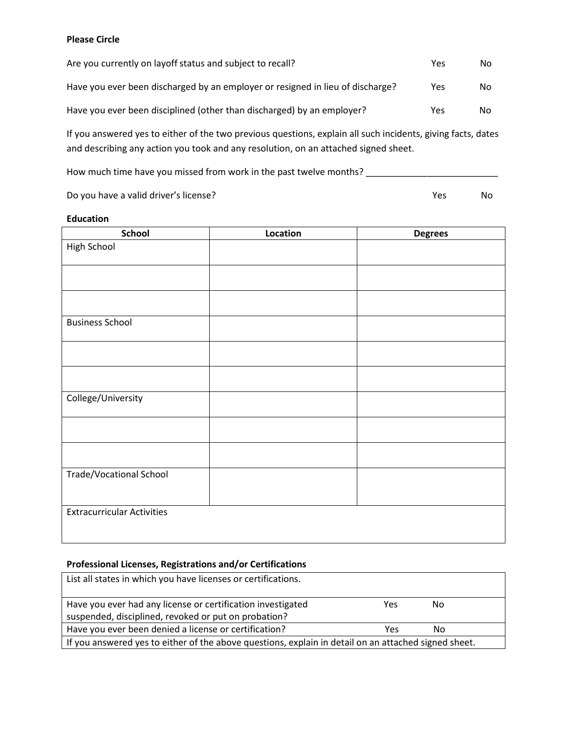#### **Please Circle**

| Are you currently on layoff status and subject to recall?                      | Yes | No. |
|--------------------------------------------------------------------------------|-----|-----|
| Have you ever been discharged by an employer or resigned in lieu of discharge? | Yes | No. |
| Have you ever been disciplined (other than discharged) by an employer?         | Yes | No. |

If you answered yes to either of the two previous questions, explain all such incidents, giving facts, dates and describing any action you took and any resolution, on an attached signed sheet.

How much time have you missed from work in the past twelve months? \_\_\_\_\_\_\_\_\_\_\_\_\_\_

Do you have a valid driver's license? Yes No

#### **Education**

| <b>School</b>                     | Location | <b>Degrees</b> |
|-----------------------------------|----------|----------------|
| High School                       |          |                |
|                                   |          |                |
|                                   |          |                |
| <b>Business School</b>            |          |                |
|                                   |          |                |
|                                   |          |                |
| College/University                |          |                |
|                                   |          |                |
|                                   |          |                |
| <b>Trade/Vocational School</b>    |          |                |
| <b>Extracurricular Activities</b> |          |                |

#### **Professional Licenses, Registrations and/or Certifications**

| List all states in which you have licenses or certifications.                                                       |     |     |
|---------------------------------------------------------------------------------------------------------------------|-----|-----|
| Have you ever had any license or certification investigated<br>suspended, disciplined, revoked or put on probation? | Yes | Nο  |
| Have you ever been denied a license or certification?                                                               | Yes | No. |
| If you answered yes to either of the above questions, explain in detail on an attached signed sheet.                |     |     |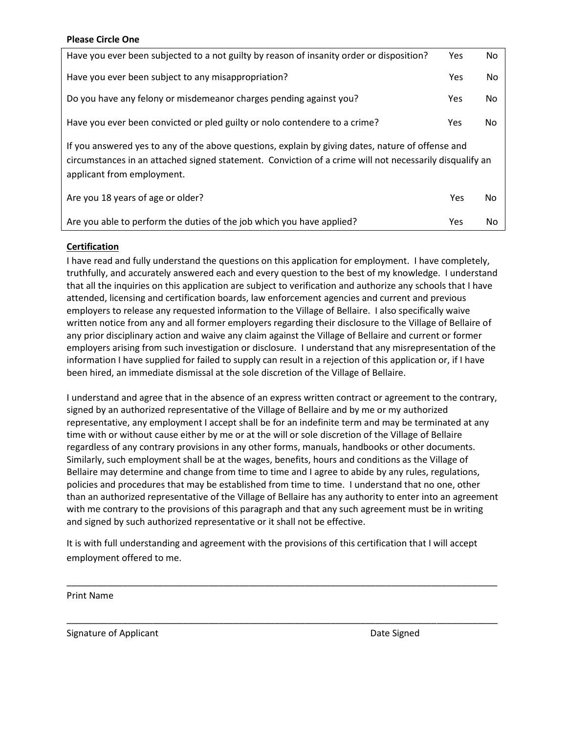#### **Please Circle One**

| Have you ever been subjected to a not guilty by reason of insanity order or disposition?                                                                                                                                                   | Yes        | No. |  |
|--------------------------------------------------------------------------------------------------------------------------------------------------------------------------------------------------------------------------------------------|------------|-----|--|
| Have you ever been subject to any misappropriation?                                                                                                                                                                                        | Yes        | No. |  |
| Do you have any felony or misdemeanor charges pending against you?                                                                                                                                                                         | <b>Yes</b> | No. |  |
| Have you ever been convicted or pled guilty or nolo contendere to a crime?                                                                                                                                                                 | Yes        | No  |  |
| If you answered yes to any of the above questions, explain by giving dates, nature of offense and<br>circumstances in an attached signed statement. Conviction of a crime will not necessarily disqualify an<br>applicant from employment. |            |     |  |
| Are you 18 years of age or older?                                                                                                                                                                                                          | Yes        | No  |  |
| Are you able to perform the duties of the job which you have applied?                                                                                                                                                                      | Yes        | No  |  |

### **Certification**

I have read and fully understand the questions on this application for employment. I have completely, truthfully, and accurately answered each and every question to the best of my knowledge. I understand that all the inquiries on this application are subject to verification and authorize any schools that I have attended, licensing and certification boards, law enforcement agencies and current and previous employers to release any requested information to the Village of Bellaire. I also specifically waive written notice from any and all former employers regarding their disclosure to the Village of Bellaire of any prior disciplinary action and waive any claim against the Village of Bellaire and current or former employers arising from such investigation or disclosure. I understand that any misrepresentation of the information I have supplied for failed to supply can result in a rejection of this application or, if I have been hired, an immediate dismissal at the sole discretion of the Village of Bellaire.

I understand and agree that in the absence of an express written contract or agreement to the contrary, signed by an authorized representative of the Village of Bellaire and by me or my authorized representative, any employment I accept shall be for an indefinite term and may be terminated at any time with or without cause either by me or at the will or sole discretion of the Village of Bellaire regardless of any contrary provisions in any other forms, manuals, handbooks or other documents. Similarly, such employment shall be at the wages, benefits, hours and conditions as the Village of Bellaire may determine and change from time to time and I agree to abide by any rules, regulations, policies and procedures that may be established from time to time. I understand that no one, other than an authorized representative of the Village of Bellaire has any authority to enter into an agreement with me contrary to the provisions of this paragraph and that any such agreement must be in writing and signed by such authorized representative or it shall not be effective.

It is with full understanding and agreement with the provisions of this certification that I will accept employment offered to me.

\_\_\_\_\_\_\_\_\_\_\_\_\_\_\_\_\_\_\_\_\_\_\_\_\_\_\_\_\_\_\_\_\_\_\_\_\_\_\_\_\_\_\_\_\_\_\_\_\_\_\_\_\_\_\_\_\_\_\_\_\_\_\_\_\_\_\_\_\_\_\_\_\_\_\_\_\_\_\_\_\_\_\_\_\_

\_\_\_\_\_\_\_\_\_\_\_\_\_\_\_\_\_\_\_\_\_\_\_\_\_\_\_\_\_\_\_\_\_\_\_\_\_\_\_\_\_\_\_\_\_\_\_\_\_\_\_\_\_\_\_\_\_\_\_\_\_\_\_\_\_\_\_\_\_\_\_\_\_\_\_\_\_\_\_\_\_\_\_\_\_

#### Print Name

Signature of Applicant **Date Signature of Applicant** Date Signed **Date Signed**